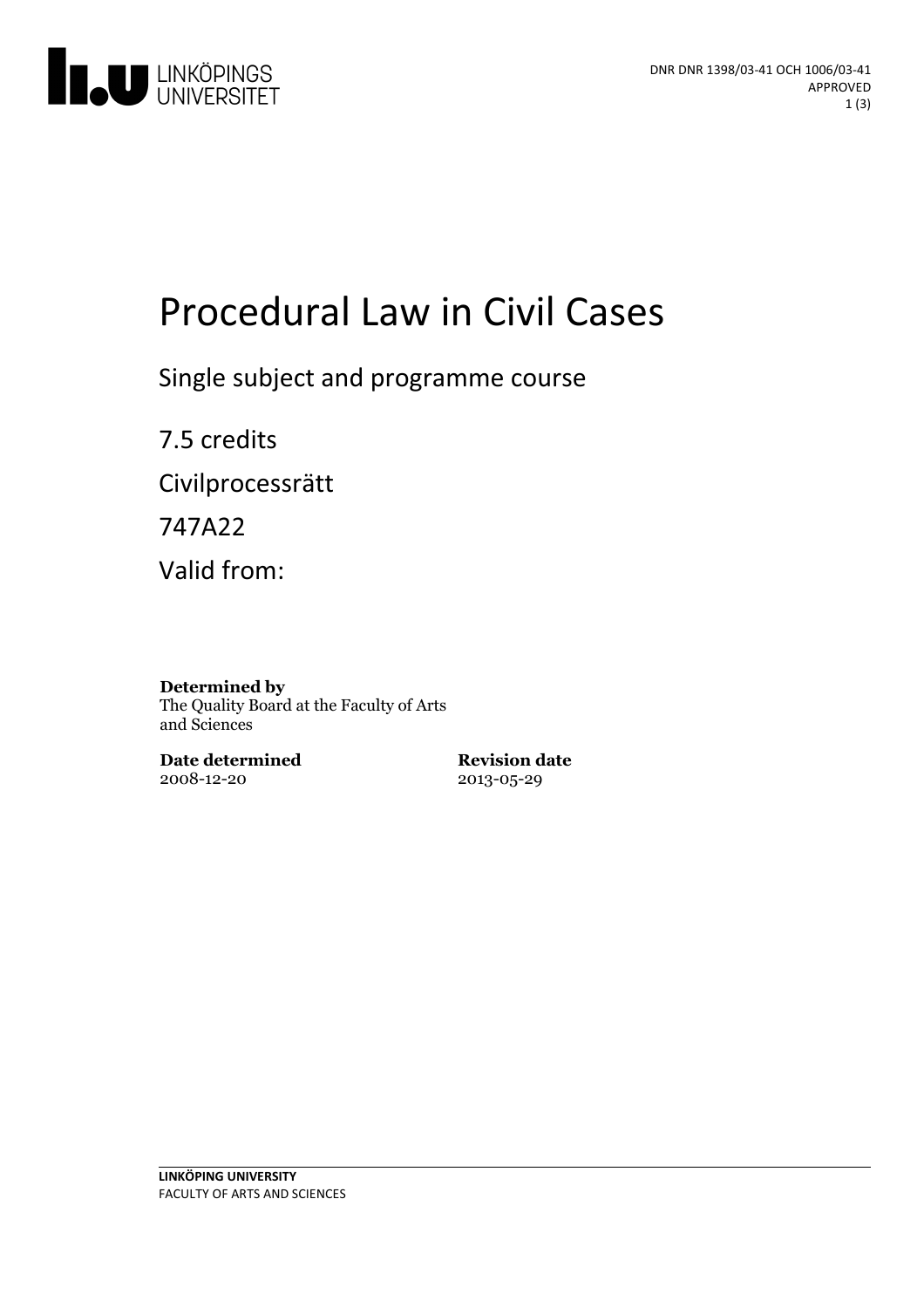

# Procedural Law in Civil Cases

Single subject and programme course

7.5 credits Civilprocessrätt 747A22

Valid from:

#### **Determined by**

The Quality Board at the Faculty of Arts and Sciences

**Date determined** 2008-12-20

**Revision date** 2013-05-29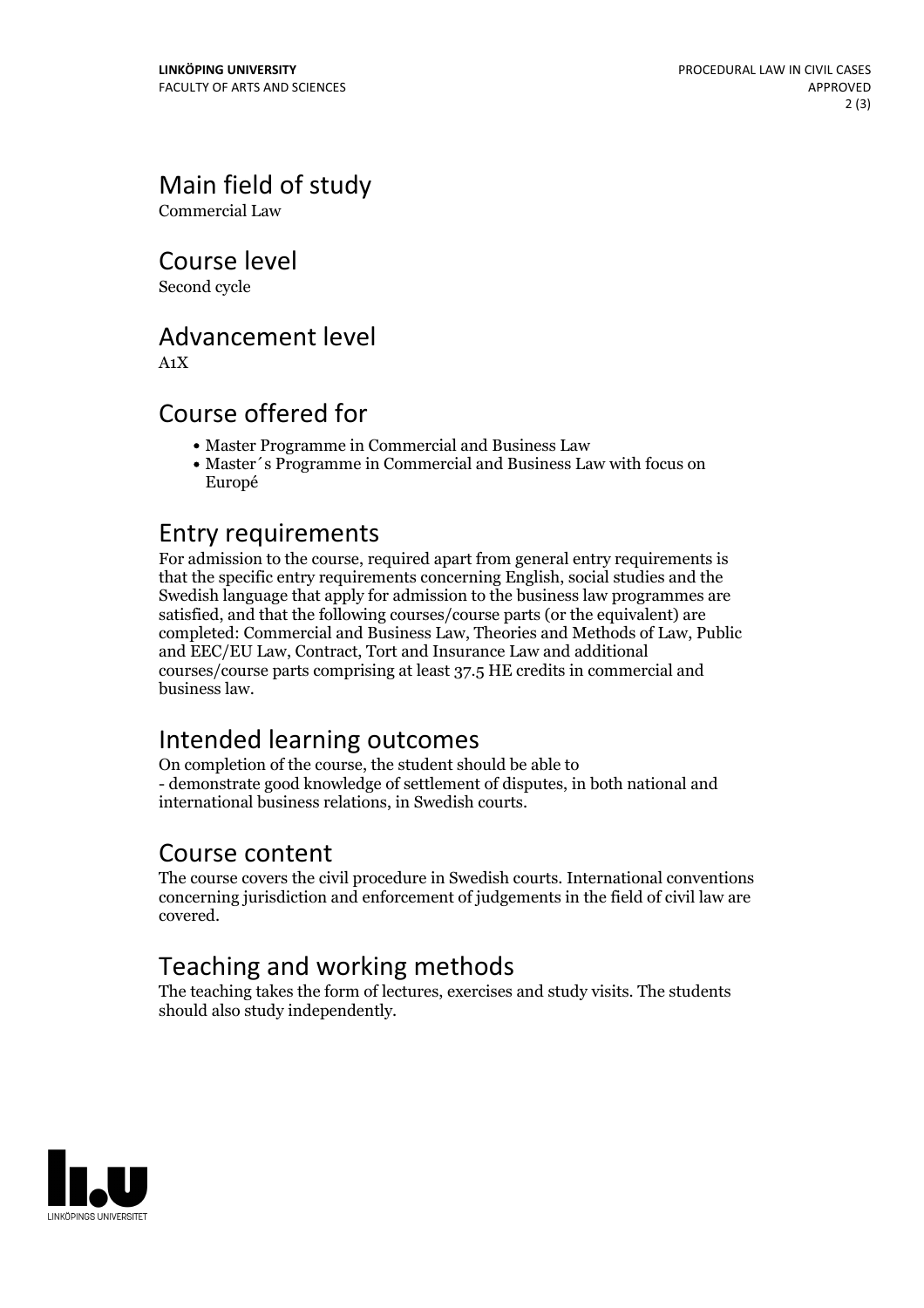Main field of study

Commercial Law

Course level

Second cycle

## Advancement level

A1X

## Course offered for

- Master Programme in Commercial and Business Law
- Master´s Programme in Commercial and Business Law with focus on Europé

## Entry requirements

For admission to the course, required apart from general entry requirements is that the specific entry requirements concerning English, social studies and the Swedish language that apply for admission to the business law programmes are satisfied, and that the following courses/course parts (or the equivalent) are completed: Commercial and Business Law, Theories and Methods of Law, Public and EEC/EU Law, Contract, Tort and Insurance Law and additional courses/course parts comprising at least 37.5 HE credits in commercial and business law.

# Intended learning outcomes

On completion of the course, the student should be able to - demonstrate good knowledge of settlement of disputes, in both national and international business relations, in Swedish courts.

## Course content

The course covers the civil procedure in Swedish courts. International conventions concerning jurisdiction and enforcement of judgements in the field of civil law are covered.

# Teaching and working methods

The teaching takes the form of lectures, exercises and study visits. The students should also study independently.